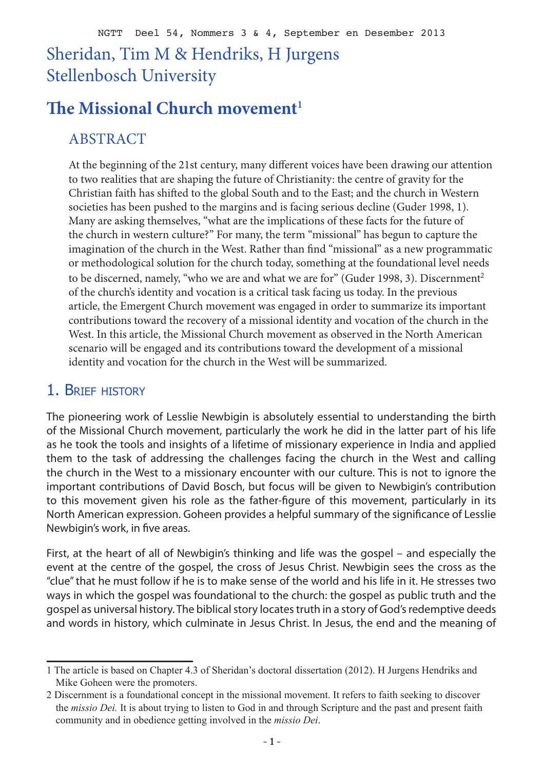# Sheridan, Tim M & Hendriks, H Jurgens Stellenbosch University

# **The Missional Church movement<sup>1</sup>**

## ABSTRACT

At the beginning of the 21st century, many different voices have been drawing our attention to two realities that are shaping the future of Christianity: the centre of gravity for the Christian faith has shifted to the global South and to the East; and the church in Western societies has been pushed to the margins and is facing serious decline (Guder 1998, 1). Many are asking themselves, "what are the implications of these facts for the future of the church in western culture?" For many, the term "missional" has begun to capture the imagination of the church in the West. Rather than find "missional" as a new programmatic or methodological solution for the church today, something at the foundational level needs to be discerned, namely, "who we are and what we are for" (Guder 1998, 3). Discernment<sup>2</sup> of the church's identity and vocation is a critical task facing us today. In the previous article, the Emergent Church movement was engaged in order to summarize its important contributions toward the recovery of a missional identity and vocation of the church in the West. In this article, the Missional Church movement as observed in the North American scenario will be engaged and its contributions toward the development of a missional identity and vocation for the church in the West will be summarized.

### 1. Brief history

The pioneering work of Lesslie Newbigin is absolutely essential to understanding the birth of the Missional Church movement, particularly the work he did in the latter part of his life as he took the tools and insights of a lifetime of missionary experience in India and applied them to the task of addressing the challenges facing the church in the West and calling the church in the West to a missionary encounter with our culture. This is not to ignore the important contributions of David Bosch, but focus will be given to Newbigin's contribution to this movement given his role as the father-figure of this movement, particularly in its North American expression. Goheen provides a helpful summary of the significance of Lesslie Newbigin's work, in five areas.

First, at the heart of all of Newbigin's thinking and life was the gospel – and especially the event at the centre of the gospel, the cross of Jesus Christ. Newbigin sees the cross as the "clue" that he must follow if he is to make sense of the world and his life in it. He stresses two ways in which the gospel was foundational to the church: the gospel as public truth and the gospel as universal history. The biblical story locates truth in a story of God's redemptive deeds and words in history, which culminate in Jesus Christ. In Jesus, the end and the meaning of

<sup>1</sup> The article is based on Chapter 4.3 of Sheridan's doctoral dissertation (2012). H Jurgens Hendriks and Mike Goheen were the promoters.

<sup>2</sup> Discernment is a foundational concept in the missional movement. It refers to faith seeking to discover the *missio Dei.* It is about trying to listen to God in and through Scripture and the past and present faith community and in obedience getting involved in the *missio Dei*.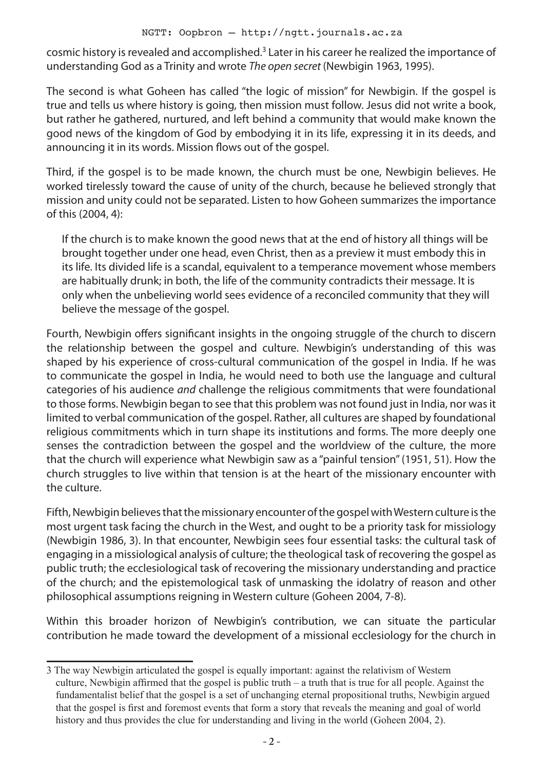cosmic history is revealed and accomplished.<sup>3</sup> Later in his career he realized the importance of understanding God as a Trinity and wrote *The open secret* (Newbigin 1963, 1995).

The second is what Goheen has called "the logic of mission" for Newbigin. If the gospel is true and tells us where history is going, then mission must follow. Jesus did not write a book, but rather he gathered, nurtured, and left behind a community that would make known the good news of the kingdom of God by embodying it in its life, expressing it in its deeds, and announcing it in its words. Mission flows out of the gospel.

Third, if the gospel is to be made known, the church must be one, Newbigin believes. He worked tirelessly toward the cause of unity of the church, because he believed strongly that mission and unity could not be separated. Listen to how Goheen summarizes the importance of this (2004, 4):

If the church is to make known the good news that at the end of history all things will be brought together under one head, even Christ, then as a preview it must embody this in its life. Its divided life is a scandal, equivalent to a temperance movement whose members are habitually drunk; in both, the life of the community contradicts their message. It is only when the unbelieving world sees evidence of a reconciled community that they will believe the message of the gospel.

Fourth, Newbigin offers significant insights in the ongoing struggle of the church to discern the relationship between the gospel and culture. Newbigin's understanding of this was shaped by his experience of cross-cultural communication of the gospel in India. If he was to communicate the gospel in India, he would need to both use the language and cultural categories of his audience *and* challenge the religious commitments that were foundational to those forms. Newbigin began to see that this problem was not found just in India, nor was it limited to verbal communication of the gospel. Rather, all cultures are shaped by foundational religious commitments which in turn shape its institutions and forms. The more deeply one senses the contradiction between the gospel and the worldview of the culture, the more that the church will experience what Newbigin saw as a "painful tension" (1951, 51). How the church struggles to live within that tension is at the heart of the missionary encounter with the culture.

Fifth, Newbigin believes that the missionary encounter of the gospel with Western culture is the most urgent task facing the church in the West, and ought to be a priority task for missiology (Newbigin 1986, 3). In that encounter, Newbigin sees four essential tasks: the cultural task of engaging in a missiological analysis of culture; the theological task of recovering the gospel as public truth; the ecclesiological task of recovering the missionary understanding and practice of the church; and the epistemological task of unmasking the idolatry of reason and other philosophical assumptions reigning in Western culture (Goheen 2004, 7-8).

Within this broader horizon of Newbigin's contribution, we can situate the particular contribution he made toward the development of a missional ecclesiology for the church in

<sup>3</sup> The way Newbigin articulated the gospel is equally important: against the relativism of Western culture, Newbigin affirmed that the gospel is public truth – a truth that is true for all people. Against the fundamentalist belief that the gospel is a set of unchanging eternal propositional truths, Newbigin argued that the gospel is first and foremost events that form a story that reveals the meaning and goal of world history and thus provides the clue for understanding and living in the world (Goheen 2004, 2).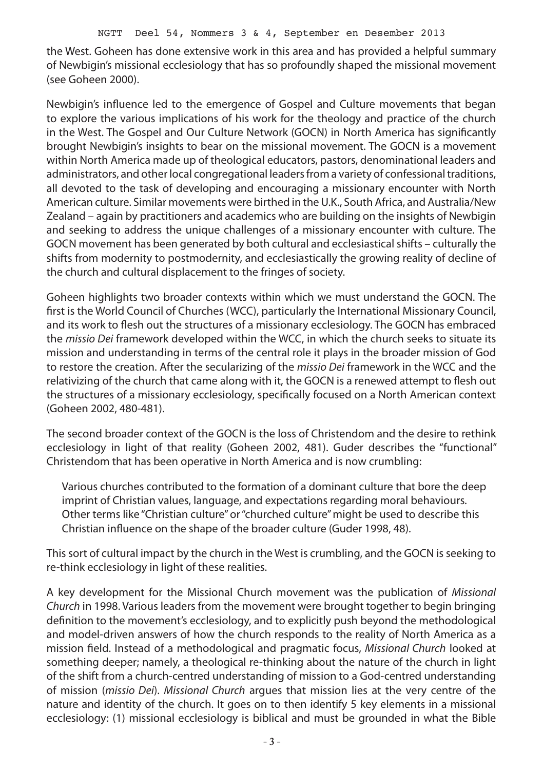the West. Goheen has done extensive work in this area and has provided a helpful summary of Newbigin's missional ecclesiology that has so profoundly shaped the missional movement (see Goheen 2000).

Newbigin's influence led to the emergence of Gospel and Culture movements that began to explore the various implications of his work for the theology and practice of the church in the West. The Gospel and Our Culture Network (GOCN) in North America has significantly brought Newbigin's insights to bear on the missional movement. The GOCN is a movement within North America made up of theological educators, pastors, denominational leaders and administrators, and other local congregational leaders from a variety of confessional traditions, all devoted to the task of developing and encouraging a missionary encounter with North American culture. Similar movements were birthed in the U.K., South Africa, and Australia/New Zealand – again by practitioners and academics who are building on the insights of Newbigin and seeking to address the unique challenges of a missionary encounter with culture. The GOCN movement has been generated by both cultural and ecclesiastical shifts – culturally the shifts from modernity to postmodernity, and ecclesiastically the growing reality of decline of the church and cultural displacement to the fringes of society.

Goheen highlights two broader contexts within which we must understand the GOCN. The first is the World Council of Churches (WCC), particularly the International Missionary Council, and its work to flesh out the structures of a missionary ecclesiology. The GOCN has embraced the *missio Dei* framework developed within the WCC, in which the church seeks to situate its mission and understanding in terms of the central role it plays in the broader mission of God to restore the creation. After the secularizing of the *missio Dei* framework in the WCC and the relativizing of the church that came along with it, the GOCN is a renewed attempt to flesh out the structures of a missionary ecclesiology, specifically focused on a North American context (Goheen 2002, 480-481).

The second broader context of the GOCN is the loss of Christendom and the desire to rethink ecclesiology in light of that reality (Goheen 2002, 481). Guder describes the "functional" Christendom that has been operative in North America and is now crumbling:

Various churches contributed to the formation of a dominant culture that bore the deep imprint of Christian values, language, and expectations regarding moral behaviours. Other terms like "Christian culture" or "churched culture" might be used to describe this Christian influence on the shape of the broader culture (Guder 1998, 48).

This sort of cultural impact by the church in the West is crumbling, and the GOCN is seeking to re-think ecclesiology in light of these realities.

A key development for the Missional Church movement was the publication of *Missional Church* in 1998. Various leaders from the movement were brought together to begin bringing definition to the movement's ecclesiology, and to explicitly push beyond the methodological and model-driven answers of how the church responds to the reality of North America as a mission field. Instead of a methodological and pragmatic focus, *Missional Church* looked at something deeper; namely, a theological re-thinking about the nature of the church in light of the shift from a church-centred understanding of mission to a God-centred understanding of mission (*missio Dei*). *Missional Church* argues that mission lies at the very centre of the nature and identity of the church. It goes on to then identify 5 key elements in a missional ecclesiology: (1) missional ecclesiology is biblical and must be grounded in what the Bible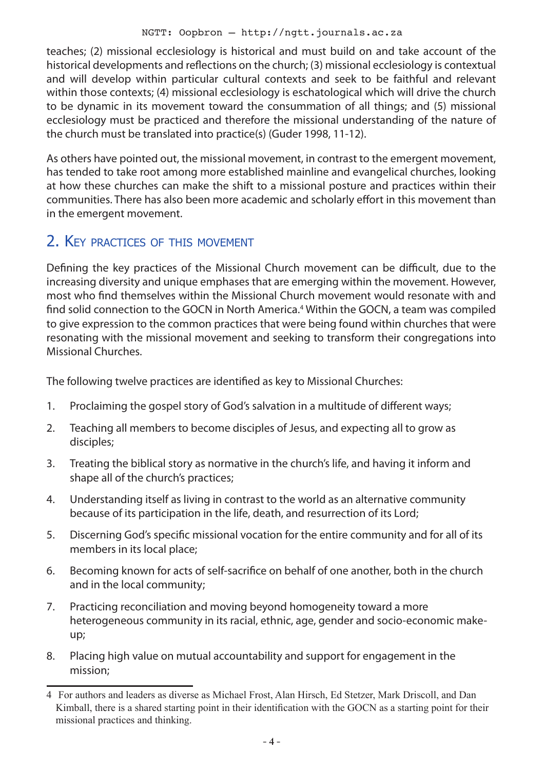teaches; (2) missional ecclesiology is historical and must build on and take account of the historical developments and reflections on the church; (3) missional ecclesiology is contextual and will develop within particular cultural contexts and seek to be faithful and relevant within those contexts; (4) missional ecclesiology is eschatological which will drive the church to be dynamic in its movement toward the consummation of all things; and (5) missional ecclesiology must be practiced and therefore the missional understanding of the nature of the church must be translated into practice(s) (Guder 1998, 11-12).

As others have pointed out, the missional movement, in contrast to the emergent movement, has tended to take root among more established mainline and evangelical churches, looking at how these churches can make the shift to a missional posture and practices within their communities. There has also been more academic and scholarly effort in this movement than in the emergent movement.

## 2. Key practices of this movement

Defining the key practices of the Missional Church movement can be difficult, due to the increasing diversity and unique emphases that are emerging within the movement. However, most who find themselves within the Missional Church movement would resonate with and find solid connection to the GOCN in North America.<sup>4</sup> Within the GOCN, a team was compiled to give expression to the common practices that were being found within churches that were resonating with the missional movement and seeking to transform their congregations into Missional Churches.

The following twelve practices are identified as key to Missional Churches:

- 1. Proclaiming the gospel story of God's salvation in a multitude of different ways;
- 2. Teaching all members to become disciples of Jesus, and expecting all to grow as disciples;
- 3. Treating the biblical story as normative in the church's life, and having it inform and shape all of the church's practices;
- 4. Understanding itself as living in contrast to the world as an alternative community because of its participation in the life, death, and resurrection of its Lord;
- 5. Discerning God's specific missional vocation for the entire community and for all of its members in its local place;
- 6. Becoming known for acts of self-sacrifice on behalf of one another, both in the church and in the local community;
- 7. Practicing reconciliation and moving beyond homogeneity toward a more heterogeneous community in its racial, ethnic, age, gender and socio-economic makeup;
- 8. Placing high value on mutual accountability and support for engagement in the mission;

<sup>4</sup> For authors and leaders as diverse as Michael Frost, Alan Hirsch, Ed Stetzer, Mark Driscoll, and Dan Kimball, there is a shared starting point in their identification with the GOCN as a starting point for their missional practices and thinking.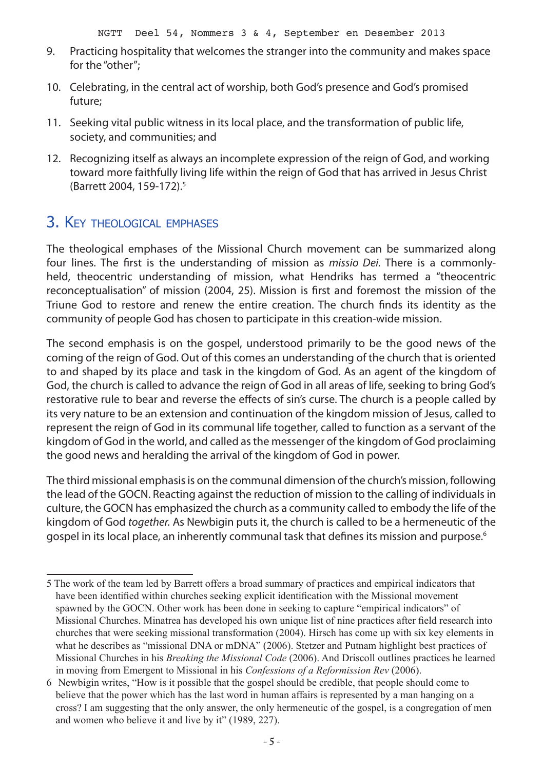- 9. Practicing hospitality that welcomes the stranger into the community and makes space for the "other";
- 10. Celebrating, in the central act of worship, both God's presence and God's promised future;
- 11. Seeking vital public witness in its local place, and the transformation of public life, society, and communities; and
- 12. Recognizing itself as always an incomplete expression of the reign of God, and working toward more faithfully living life within the reign of God that has arrived in Jesus Christ (Barrett 2004, 159-172).5

## 3. Key theological emphases

The theological emphases of the Missional Church movement can be summarized along four lines. The first is the understanding of mission as *missio Dei.* There is a commonlyheld, theocentric understanding of mission, what Hendriks has termed a "theocentric reconceptualisation" of mission (2004, 25). Mission is first and foremost the mission of the Triune God to restore and renew the entire creation. The church finds its identity as the community of people God has chosen to participate in this creation-wide mission.

The second emphasis is on the gospel, understood primarily to be the good news of the coming of the reign of God. Out of this comes an understanding of the church that is oriented to and shaped by its place and task in the kingdom of God. As an agent of the kingdom of God, the church is called to advance the reign of God in all areas of life, seeking to bring God's restorative rule to bear and reverse the effects of sin's curse. The church is a people called by its very nature to be an extension and continuation of the kingdom mission of Jesus, called to represent the reign of God in its communal life together, called to function as a servant of the kingdom of God in the world, and called as the messenger of the kingdom of God proclaiming the good news and heralding the arrival of the kingdom of God in power.

The third missional emphasis is on the communal dimension of the church's mission, following the lead of the GOCN. Reacting against the reduction of mission to the calling of individuals in culture, the GOCN has emphasized the church as a community called to embody the life of the kingdom of God *together.* As Newbigin puts it, the church is called to be a hermeneutic of the gospel in its local place, an inherently communal task that defines its mission and purpose.<sup>6</sup>

<sup>5</sup> The work of the team led by Barrett offers a broad summary of practices and empirical indicators that have been identified within churches seeking explicit identification with the Missional movement spawned by the GOCN. Other work has been done in seeking to capture "empirical indicators" of Missional Churches. Minatrea has developed his own unique list of nine practices after field research into churches that were seeking missional transformation (2004). Hirsch has come up with six key elements in what he describes as "missional DNA or mDNA" (2006). Stetzer and Putnam highlight best practices of Missional Churches in his *Breaking the Missional Code* (2006). And Driscoll outlines practices he learned in moving from Emergent to Missional in his *Confessions of a Reformission Rev* (2006).

<sup>6</sup> Newbigin writes, "How is it possible that the gospel should be credible, that people should come to believe that the power which has the last word in human affairs is represented by a man hanging on a cross? I am suggesting that the only answer, the only hermeneutic of the gospel, is a congregation of men and women who believe it and live by it" (1989, 227).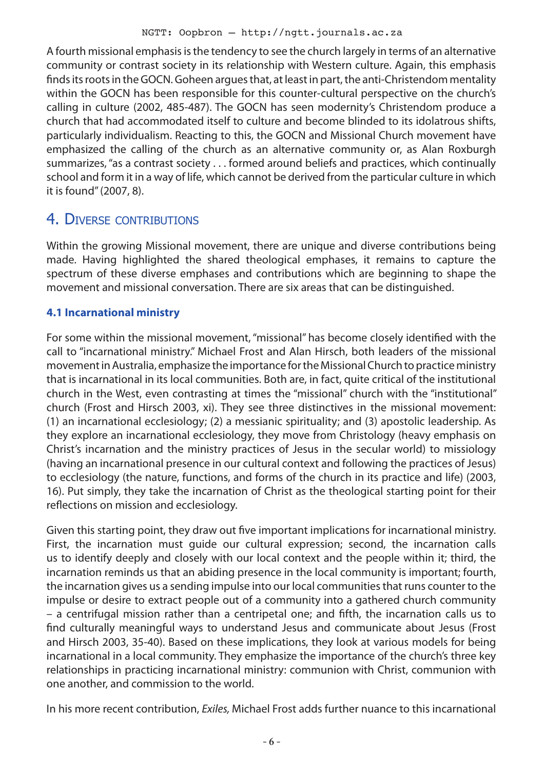A fourth missional emphasis is the tendency to see the church largely in terms of an alternative community or contrast society in its relationship with Western culture. Again, this emphasis finds its roots in the GOCN. Goheen argues that, at least in part, the anti-Christendom mentality within the GOCN has been responsible for this counter-cultural perspective on the church's calling in culture (2002, 485-487). The GOCN has seen modernity's Christendom produce a church that had accommodated itself to culture and become blinded to its idolatrous shifts, particularly individualism. Reacting to this, the GOCN and Missional Church movement have emphasized the calling of the church as an alternative community or, as Alan Roxburgh summarizes, "as a contrast society . . . formed around beliefs and practices, which continually school and form it in a way of life, which cannot be derived from the particular culture in which it is found" (2007, 8).

## 4. DIVERSE CONTRIBUTIONS

Within the growing Missional movement, there are unique and diverse contributions being made. Having highlighted the shared theological emphases, it remains to capture the spectrum of these diverse emphases and contributions which are beginning to shape the movement and missional conversation. There are six areas that can be distinguished.

### **4.1 Incarnational ministry**

For some within the missional movement, "missional" has become closely identified with the call to "incarnational ministry." Michael Frost and Alan Hirsch, both leaders of the missional movement in Australia, emphasize the importance for the Missional Church to practice ministry that is incarnational in its local communities. Both are, in fact, quite critical of the institutional church in the West, even contrasting at times the "missional" church with the "institutional" church (Frost and Hirsch 2003, xi). They see three distinctives in the missional movement: (1) an incarnational ecclesiology; (2) a messianic spirituality; and (3) apostolic leadership. As they explore an incarnational ecclesiology, they move from Christology (heavy emphasis on Christ's incarnation and the ministry practices of Jesus in the secular world) to missiology (having an incarnational presence in our cultural context and following the practices of Jesus) to ecclesiology (the nature, functions, and forms of the church in its practice and life) (2003, 16). Put simply, they take the incarnation of Christ as the theological starting point for their reflections on mission and ecclesiology.

Given this starting point, they draw out five important implications for incarnational ministry. First, the incarnation must guide our cultural expression; second, the incarnation calls us to identify deeply and closely with our local context and the people within it; third, the incarnation reminds us that an abiding presence in the local community is important; fourth, the incarnation gives us a sending impulse into our local communities that runs counter to the impulse or desire to extract people out of a community into a gathered church community – a centrifugal mission rather than a centripetal one; and fifth, the incarnation calls us to find culturally meaningful ways to understand Jesus and communicate about Jesus (Frost and Hirsch 2003, 35-40). Based on these implications, they look at various models for being incarnational in a local community. They emphasize the importance of the church's three key relationships in practicing incarnational ministry: communion with Christ, communion with one another, and commission to the world.

In his more recent contribution, *Exiles,* Michael Frost adds further nuance to this incarnational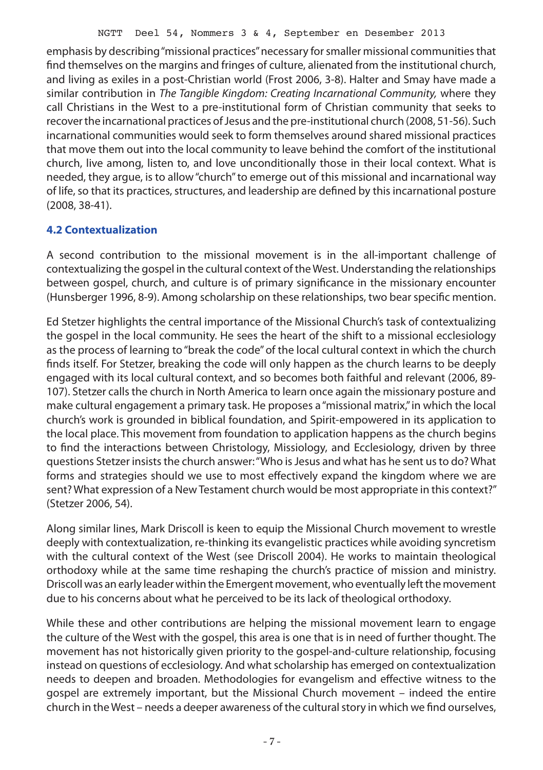emphasis by describing "missional practices" necessary for smaller missional communities that find themselves on the margins and fringes of culture, alienated from the institutional church, and living as exiles in a post-Christian world (Frost 2006, 3-8). Halter and Smay have made a similar contribution in *The Tangible Kingdom: Creating Incarnational Community,* where they call Christians in the West to a pre-institutional form of Christian community that seeks to recover the incarnational practices of Jesus and the pre-institutional church (2008, 51-56). Such incarnational communities would seek to form themselves around shared missional practices that move them out into the local community to leave behind the comfort of the institutional church, live among, listen to, and love unconditionally those in their local context. What is needed, they argue, is to allow "church" to emerge out of this missional and incarnational way of life, so that its practices, structures, and leadership are defined by this incarnational posture (2008, 38-41).

### **4.2 Contextualization**

A second contribution to the missional movement is in the all-important challenge of contextualizing the gospel in the cultural context of the West. Understanding the relationships between gospel, church, and culture is of primary significance in the missionary encounter (Hunsberger 1996, 8-9). Among scholarship on these relationships, two bear specific mention.

Ed Stetzer highlights the central importance of the Missional Church's task of contextualizing the gospel in the local community. He sees the heart of the shift to a missional ecclesiology as the process of learning to "break the code" of the local cultural context in which the church finds itself. For Stetzer, breaking the code will only happen as the church learns to be deeply engaged with its local cultural context, and so becomes both faithful and relevant (2006, 89- 107). Stetzer calls the church in North America to learn once again the missionary posture and make cultural engagement a primary task. He proposes a "missional matrix," in which the local church's work is grounded in biblical foundation, and Spirit-empowered in its application to the local place. This movement from foundation to application happens as the church begins to find the interactions between Christology, Missiology, and Ecclesiology, driven by three questions Stetzer insists the church answer: "Who is Jesus and what has he sent us to do? What forms and strategies should we use to most effectively expand the kingdom where we are sent? What expression of a New Testament church would be most appropriate in this context?" (Stetzer 2006, 54).

Along similar lines, Mark Driscoll is keen to equip the Missional Church movement to wrestle deeply with contextualization, re-thinking its evangelistic practices while avoiding syncretism with the cultural context of the West (see Driscoll 2004). He works to maintain theological orthodoxy while at the same time reshaping the church's practice of mission and ministry. Driscoll was an early leader within the Emergent movement, who eventually left the movement due to his concerns about what he perceived to be its lack of theological orthodoxy.

While these and other contributions are helping the missional movement learn to engage the culture of the West with the gospel, this area is one that is in need of further thought. The movement has not historically given priority to the gospel-and-culture relationship, focusing instead on questions of ecclesiology. And what scholarship has emerged on contextualization needs to deepen and broaden. Methodologies for evangelism and effective witness to the gospel are extremely important, but the Missional Church movement – indeed the entire church in the West – needs a deeper awareness of the cultural story in which we find ourselves,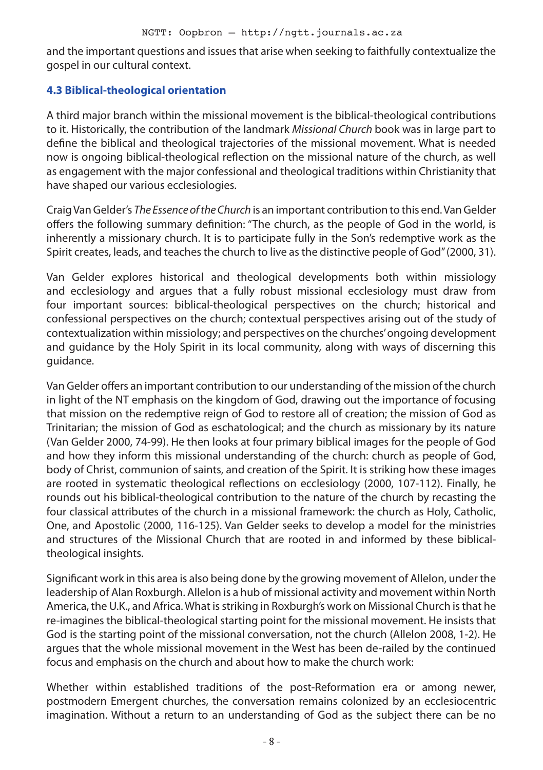and the important questions and issues that arise when seeking to faithfully contextualize the gospel in our cultural context.

### **4.3 Biblical-theological orientation**

A third major branch within the missional movement is the biblical-theological contributions to it. Historically, the contribution of the landmark *Missional Church* book was in large part to define the biblical and theological trajectories of the missional movement. What is needed now is ongoing biblical-theological reflection on the missional nature of the church, as well as engagement with the major confessional and theological traditions within Christianity that have shaped our various ecclesiologies.

Craig Van Gelder's *The Essence of the Church* is an important contribution to this end. Van Gelder offers the following summary definition: "The church, as the people of God in the world, is inherently a missionary church. It is to participate fully in the Son's redemptive work as the Spirit creates, leads, and teaches the church to live as the distinctive people of God" (2000, 31).

Van Gelder explores historical and theological developments both within missiology and ecclesiology and argues that a fully robust missional ecclesiology must draw from four important sources: biblical-theological perspectives on the church; historical and confessional perspectives on the church; contextual perspectives arising out of the study of contextualization within missiology; and perspectives on the churches' ongoing development and guidance by the Holy Spirit in its local community, along with ways of discerning this guidance.

Van Gelder offers an important contribution to our understanding of the mission of the church in light of the NT emphasis on the kingdom of God, drawing out the importance of focusing that mission on the redemptive reign of God to restore all of creation; the mission of God as Trinitarian; the mission of God as eschatological; and the church as missionary by its nature (Van Gelder 2000, 74-99). He then looks at four primary biblical images for the people of God and how they inform this missional understanding of the church: church as people of God, body of Christ, communion of saints, and creation of the Spirit. It is striking how these images are rooted in systematic theological reflections on ecclesiology (2000, 107-112). Finally, he rounds out his biblical-theological contribution to the nature of the church by recasting the four classical attributes of the church in a missional framework: the church as Holy, Catholic, One, and Apostolic (2000, 116-125). Van Gelder seeks to develop a model for the ministries and structures of the Missional Church that are rooted in and informed by these biblicaltheological insights.

Significant work in this area is also being done by the growing movement of Allelon, under the leadership of Alan Roxburgh. Allelon is a hub of missional activity and movement within North America, the U.K., and Africa. What is striking in Roxburgh's work on Missional Church is that he re-imagines the biblical-theological starting point for the missional movement. He insists that God is the starting point of the missional conversation, not the church (Allelon 2008, 1-2). He argues that the whole missional movement in the West has been de-railed by the continued focus and emphasis on the church and about how to make the church work:

Whether within established traditions of the post-Reformation era or among newer, postmodern Emergent churches, the conversation remains colonized by an ecclesiocentric imagination. Without a return to an understanding of God as the subject there can be no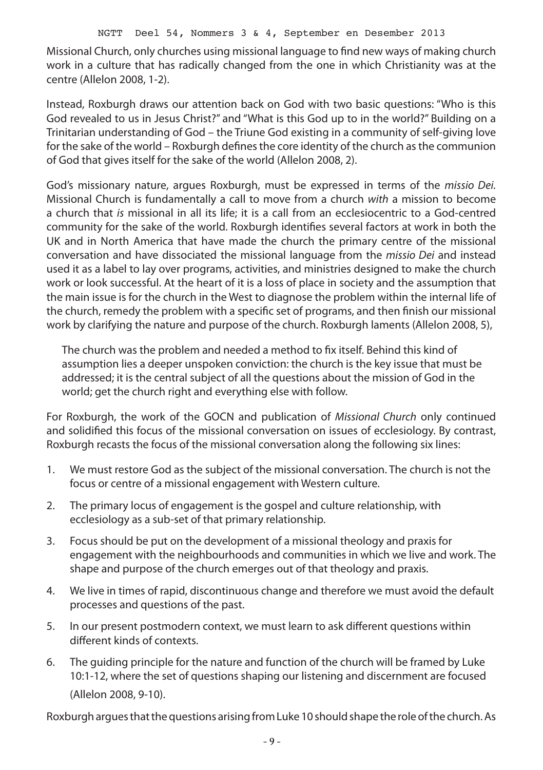Missional Church, only churches using missional language to find new ways of making church work in a culture that has radically changed from the one in which Christianity was at the centre (Allelon 2008, 1-2).

Instead, Roxburgh draws our attention back on God with two basic questions: "Who is this God revealed to us in Jesus Christ?" and "What is this God up to in the world?" Building on a Trinitarian understanding of God – the Triune God existing in a community of self-giving love for the sake of the world – Roxburgh defines the core identity of the church as the communion of God that gives itself for the sake of the world (Allelon 2008, 2).

God's missionary nature, argues Roxburgh, must be expressed in terms of the *missio Dei.*  Missional Church is fundamentally a call to move from a church *with* a mission to become a church that *is* missional in all its life; it is a call from an ecclesiocentric to a God-centred community for the sake of the world. Roxburgh identifies several factors at work in both the UK and in North America that have made the church the primary centre of the missional conversation and have dissociated the missional language from the *missio Dei* and instead used it as a label to lay over programs, activities, and ministries designed to make the church work or look successful. At the heart of it is a loss of place in society and the assumption that the main issue is for the church in the West to diagnose the problem within the internal life of the church, remedy the problem with a specific set of programs, and then finish our missional work by clarifying the nature and purpose of the church. Roxburgh laments (Allelon 2008, 5),

The church was the problem and needed a method to fix itself. Behind this kind of assumption lies a deeper unspoken conviction: the church is the key issue that must be addressed; it is the central subject of all the questions about the mission of God in the world; get the church right and everything else with follow.

For Roxburgh, the work of the GOCN and publication of *Missional Church* only continued and solidified this focus of the missional conversation on issues of ecclesiology. By contrast, Roxburgh recasts the focus of the missional conversation along the following six lines:

- 1. We must restore God as the subject of the missional conversation. The church is not the focus or centre of a missional engagement with Western culture.
- 2. The primary locus of engagement is the gospel and culture relationship, with ecclesiology as a sub-set of that primary relationship.
- 3. Focus should be put on the development of a missional theology and praxis for engagement with the neighbourhoods and communities in which we live and work. The shape and purpose of the church emerges out of that theology and praxis.
- 4. We live in times of rapid, discontinuous change and therefore we must avoid the default processes and questions of the past.
- 5. In our present postmodern context, we must learn to ask different questions within different kinds of contexts.
- 6. The guiding principle for the nature and function of the church will be framed by Luke 10:1-12, where the set of questions shaping our listening and discernment are focused (Allelon 2008, 9-10).

Roxburgh argues that the questions arising from Luke 10 should shape the role of the church. As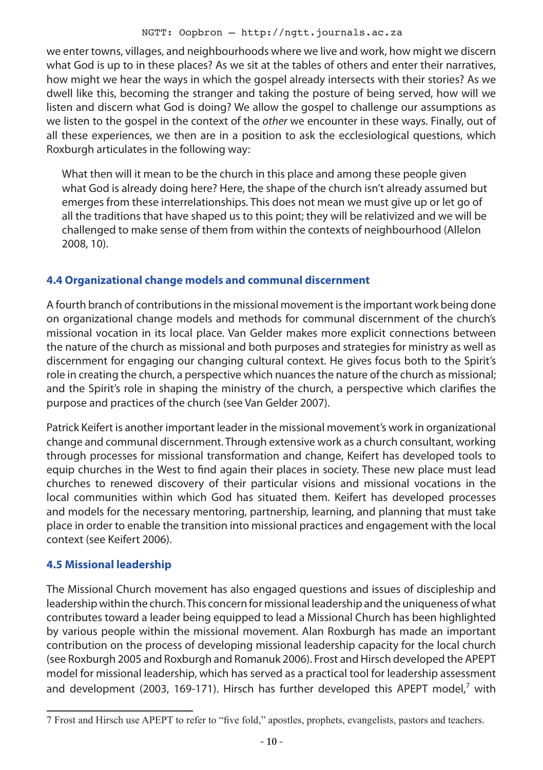we enter towns, villages, and neighbourhoods where we live and work, how might we discern what God is up to in these places? As we sit at the tables of others and enter their narratives, how might we hear the ways in which the gospel already intersects with their stories? As we dwell like this, becoming the stranger and taking the posture of being served, how will we listen and discern what God is doing? We allow the gospel to challenge our assumptions as we listen to the gospel in the context of the *other* we encounter in these ways. Finally, out of all these experiences, we then are in a position to ask the ecclesiological questions, which Roxburgh articulates in the following way:

What then will it mean to be the church in this place and among these people given what God is already doing here? Here, the shape of the church isn't already assumed but emerges from these interrelationships. This does not mean we must give up or let go of all the traditions that have shaped us to this point; they will be relativized and we will be challenged to make sense of them from within the contexts of neighbourhood (Allelon 2008, 10).

### **4.4 Organizational change models and communal discernment**

A fourth branch of contributions in the missional movement is the important work being done on organizational change models and methods for communal discernment of the church's missional vocation in its local place. Van Gelder makes more explicit connections between the nature of the church as missional and both purposes and strategies for ministry as well as discernment for engaging our changing cultural context. He gives focus both to the Spirit's role in creating the church, a perspective which nuances the nature of the church as missional; and the Spirit's role in shaping the ministry of the church, a perspective which clarifies the purpose and practices of the church (see Van Gelder 2007).

Patrick Keifert is another important leader in the missional movement's work in organizational change and communal discernment. Through extensive work as a church consultant, working through processes for missional transformation and change, Keifert has developed tools to equip churches in the West to find again their places in society. These new place must lead churches to renewed discovery of their particular visions and missional vocations in the local communities within which God has situated them. Keifert has developed processes and models for the necessary mentoring, partnership, learning, and planning that must take place in order to enable the transition into missional practices and engagement with the local context (see Keifert 2006).

### **4.5 Missional leadership**

The Missional Church movement has also engaged questions and issues of discipleship and leadership within the church. This concern for missional leadership and the uniqueness of what contributes toward a leader being equipped to lead a Missional Church has been highlighted by various people within the missional movement. Alan Roxburgh has made an important contribution on the process of developing missional leadership capacity for the local church (see Roxburgh 2005 and Roxburgh and Romanuk 2006). Frost and Hirsch developed the APEPT model for missional leadership, which has served as a practical tool for leadership assessment and development (2003, 169-171). Hirsch has further developed this APEPT model,7 with

<sup>7</sup> Frost and Hirsch use APEPT to refer to "five fold," apostles, prophets, evangelists, pastors and teachers.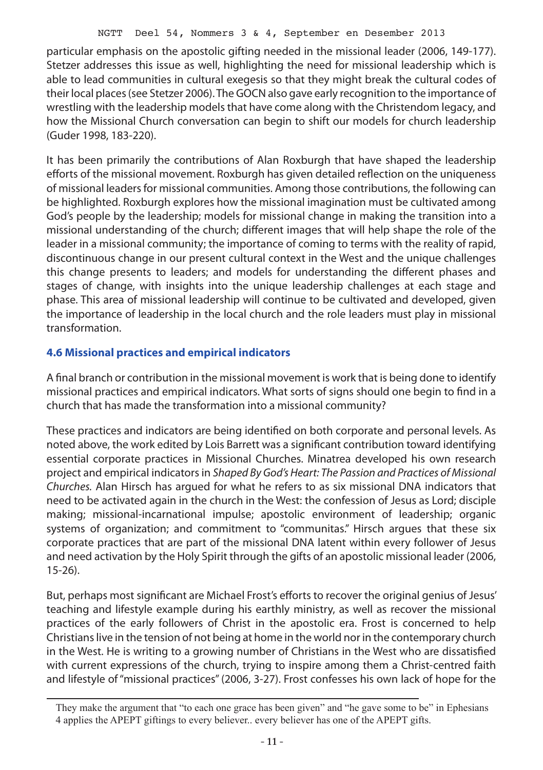particular emphasis on the apostolic gifting needed in the missional leader (2006, 149-177). Stetzer addresses this issue as well, highlighting the need for missional leadership which is able to lead communities in cultural exegesis so that they might break the cultural codes of their local places (see Stetzer 2006). The GOCN also gave early recognition to the importance of wrestling with the leadership models that have come along with the Christendom legacy, and how the Missional Church conversation can begin to shift our models for church leadership (Guder 1998, 183-220).

It has been primarily the contributions of Alan Roxburgh that have shaped the leadership efforts of the missional movement. Roxburgh has given detailed reflection on the uniqueness of missional leaders for missional communities. Among those contributions, the following can be highlighted. Roxburgh explores how the missional imagination must be cultivated among God's people by the leadership; models for missional change in making the transition into a missional understanding of the church; different images that will help shape the role of the leader in a missional community; the importance of coming to terms with the reality of rapid, discontinuous change in our present cultural context in the West and the unique challenges this change presents to leaders; and models for understanding the different phases and stages of change, with insights into the unique leadership challenges at each stage and phase. This area of missional leadership will continue to be cultivated and developed, given the importance of leadership in the local church and the role leaders must play in missional transformation.

### **4.6 Missional practices and empirical indicators**

A final branch or contribution in the missional movement is work that is being done to identify missional practices and empirical indicators. What sorts of signs should one begin to find in a church that has made the transformation into a missional community?

These practices and indicators are being identified on both corporate and personal levels. As noted above, the work edited by Lois Barrett was a significant contribution toward identifying essential corporate practices in Missional Churches. Minatrea developed his own research project and empirical indicators in *Shaped By God's Heart: The Passion and Practices of Missional Churches.* Alan Hirsch has argued for what he refers to as six missional DNA indicators that need to be activated again in the church in the West: the confession of Jesus as Lord; disciple making; missional-incarnational impulse; apostolic environment of leadership; organic systems of organization; and commitment to "communitas." Hirsch argues that these six corporate practices that are part of the missional DNA latent within every follower of Jesus and need activation by the Holy Spirit through the gifts of an apostolic missional leader (2006, 15-26).

But, perhaps most significant are Michael Frost's efforts to recover the original genius of Jesus' teaching and lifestyle example during his earthly ministry, as well as recover the missional practices of the early followers of Christ in the apostolic era. Frost is concerned to help Christians live in the tension of not being at home in the world nor in the contemporary church in the West. He is writing to a growing number of Christians in the West who are dissatisfied with current expressions of the church, trying to inspire among them a Christ-centred faith and lifestyle of "missional practices" (2006, 3-27). Frost confesses his own lack of hope for the

They make the argument that "to each one grace has been given" and "he gave some to be" in Ephesians 4 applies the APEPT giftings to every believer.. every believer has one of the APEPT gifts.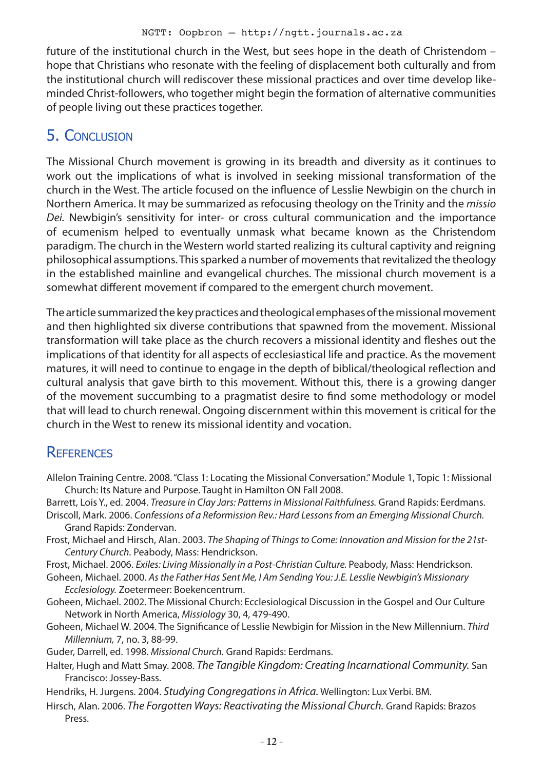future of the institutional church in the West, but sees hope in the death of Christendom – hope that Christians who resonate with the feeling of displacement both culturally and from the institutional church will rediscover these missional practices and over time develop likeminded Christ-followers, who together might begin the formation of alternative communities of people living out these practices together.

## 5. CONCLUSION

The Missional Church movement is growing in its breadth and diversity as it continues to work out the implications of what is involved in seeking missional transformation of the church in the West. The article focused on the influence of Lesslie Newbigin on the church in Northern America. It may be summarized as refocusing theology on the Trinity and the *missio Dei.* Newbigin's sensitivity for inter- or cross cultural communication and the importance of ecumenism helped to eventually unmask what became known as the Christendom paradigm. The church in the Western world started realizing its cultural captivity and reigning philosophical assumptions. This sparked a number of movements that revitalized the theology in the established mainline and evangelical churches. The missional church movement is a somewhat different movement if compared to the emergent church movement.

The article summarized the key practices and theological emphases of the missional movement and then highlighted six diverse contributions that spawned from the movement. Missional transformation will take place as the church recovers a missional identity and fleshes out the implications of that identity for all aspects of ecclesiastical life and practice. As the movement matures, it will need to continue to engage in the depth of biblical/theological reflection and cultural analysis that gave birth to this movement. Without this, there is a growing danger of the movement succumbing to a pragmatist desire to find some methodology or model that will lead to church renewal. Ongoing discernment within this movement is critical for the church in the West to renew its missional identity and vocation.

## **REFERENCES**

- Allelon Training Centre. 2008. "Class 1: Locating the Missional Conversation." Module 1, Topic 1: Missional Church: Its Nature and Purpose. Taught in Hamilton ON Fall 2008.
- Barrett, Lois Y., ed. 2004. *Treasure in Clay Jars: Patterns in Missional Faithfulness.* Grand Rapids: Eerdmans. Driscoll, Mark. 2006. *Confessions of a Reformission Rev.: Hard Lessons from an Emerging Missional Church.* Grand Rapids: Zondervan.
- Frost, Michael and Hirsch, Alan. 2003. *The Shaping of Things to Come: Innovation and Mission for the 21st-Century Church.* Peabody, Mass: Hendrickson.
- Frost, Michael. 2006. *Exiles: Living Missionally in a Post-Christian Culture.* Peabody, Mass: Hendrickson.
- Goheen, Michael. 2000. *As the Father Has Sent Me, I Am Sending You: J.E. Lesslie Newbigin's Missionary Ecclesiology.* Zoetermeer: Boekencentrum.
- Goheen, Michael. 2002. The Missional Church: Ecclesiological Discussion in the Gospel and Our Culture Network in North America, *Missiology* 30, 4, 479-490.
- Goheen, Michael W. 2004. The Significance of Lesslie Newbigin for Mission in the New Millennium. *Third Millennium,* 7, no. 3, 88-99.
- Guder, Darrell, ed. 1998. *Missional Church.* Grand Rapids: Eerdmans.
- Halter, Hugh and Matt Smay. 2008. *The Tangible Kingdom: Creating Incarnational Community.* San Francisco: Jossey-Bass.
- Hendriks, H. Jurgens. 2004. *Studying Congregations in Africa.* Wellington: Lux Verbi. BM.
- Hirsch, Alan. 2006. *The Forgotten Ways: Reactivating the Missional Church.* Grand Rapids: Brazos Press.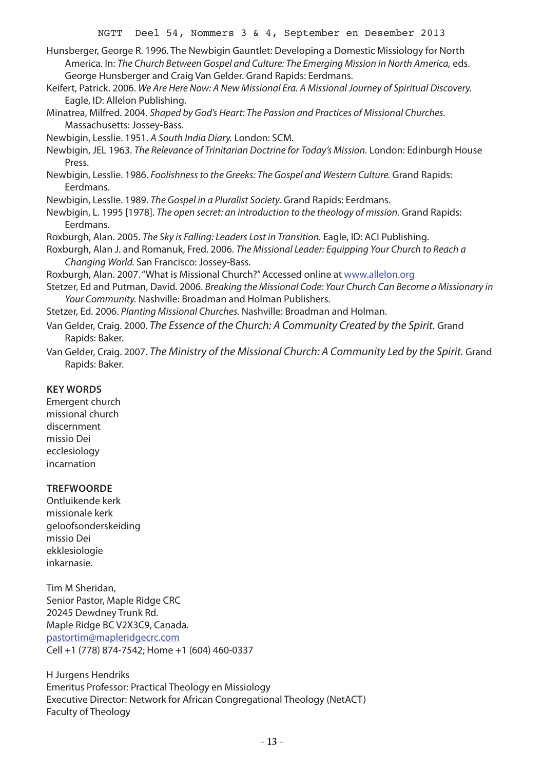Hunsberger, George R. 1996. The Newbigin Gauntlet: Developing a Domestic Missiology for North America. In: *The Church Between Gospel and Culture: The Emerging Mission in North America,* eds. George Hunsberger and Craig Van Gelder. Grand Rapids: Eerdmans.

Keifert, Patrick. 2006. *We Are Here Now: A New Missional Era. A Missional Journey of Spiritual Discovery.* Eagle, ID: Allelon Publishing.

Minatrea, Milfred. 2004. *Shaped by God's Heart: The Passion and Practices of Missional Churches.*  Massachusetts: Jossey-Bass.

Newbigin, Lesslie. 1951. *A South India Diary.* London: SCM.

Newbigin, JEL 1963. *The Relevance of Trinitarian Doctrine for Today's Mission.* London: Edinburgh House Press.

Newbigin, Lesslie. 1986. *Foolishness to the Greeks: The Gospel and Western Culture.* Grand Rapids: Eerdmans.

Newbigin, Lesslie. 1989. *The Gospel in a Pluralist Society.* Grand Rapids: Eerdmans.

Newbigin, L. 1995 [1978]. *The open secret: an introduction to the theology of mission.* Grand Rapids: Eerdmans.

Roxburgh, Alan. 2005. *The Sky is Falling: Leaders Lost in Transition.* Eagle, ID: ACI Publishing.

Roxburgh, Alan J. and Romanuk, Fred. 2006. *The Missional Leader: Equipping Your Church to Reach a Changing World.* San Francisco: Jossey-Bass.

Roxburgh, Alan. 2007. "What is Missional Church?" Accessed online at www.allelon.org

Stetzer, Ed and Putman, David. 2006. *Breaking the Missional Code: Your Church Can Become a Missionary in Your Community.* Nashville: Broadman and Holman Publishers.

Stetzer, Ed. 2006. *Planting Missional Churches.* Nashville: Broadman and Holman.

Van Gelder, Craig. 2000. *The Essence of the Church: A Community Created by the Spirit.* Grand Rapids: Baker.

Van Gelder, Craig. 2007. *The Ministry of the Missional Church: A Community Led by the Spirit.* Grand Rapids: Baker.

#### **Key words**

Emergent church missional church discernment missio Dei ecclesiology incarnation

#### **Trefwoorde**

Ontluikende kerk missionale kerk geloofsonderskeiding missio Dei ekklesiologie inkarnasie.

Tim M Sheridan, Senior Pastor, Maple Ridge CRC 20245 Dewdney Trunk Rd. Maple Ridge BC V2X3C9, Canada. pastortim@mapleridgecrc.com Cell +1 (778) 874-7542; Home +1 (604) 460-0337

H Jurgens Hendriks Emeritus Professor: Practical Theology en Missiology Executive Director: Network for African Congregational Theology (NetACT) Faculty of Theology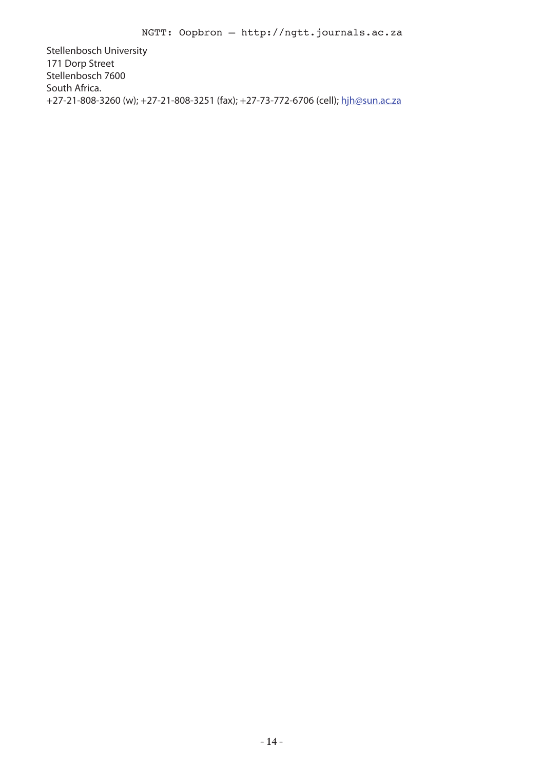Stellenbosch University 171 Dorp Street Stellenbosch 7600 South Africa. +27-21-808-3260 (w); +27-21-808-3251 (fax); +27-73-772-6706 (cell); hjh@sun.ac.za